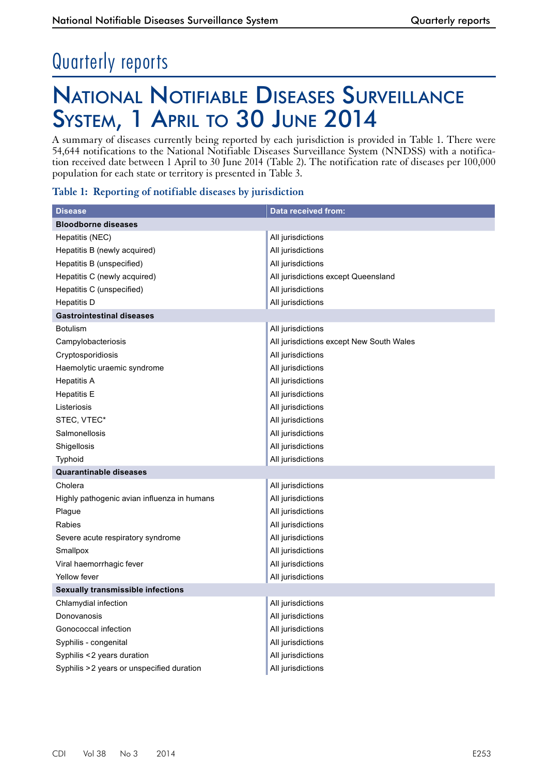# Quarterly reports

## National Notifiable Diseases Surveillance SYSTEM, 1 APRIL TO 30 JUNE 2014

A summary of diseases currently being reported by each jurisdiction is provided in Table 1. There were 54,644 notifications to the National Notifiable Diseases Surveillance System (NNDSS) with a notification received date between 1 April to 30 June 2014 (Table 2). The notification rate of diseases per 100,000 population for each state or territory is presented in Table 3.

|  | Table 1: Reporting of notifiable diseases by jurisdiction |  |
|--|-----------------------------------------------------------|--|
|  |                                                           |  |

| <b>Disease</b>                              | Data received from:                      |
|---------------------------------------------|------------------------------------------|
| <b>Bloodborne diseases</b>                  |                                          |
| Hepatitis (NEC)                             | All jurisdictions                        |
| Hepatitis B (newly acquired)                | All jurisdictions                        |
| Hepatitis B (unspecified)                   | All jurisdictions                        |
| Hepatitis C (newly acquired)                | All jurisdictions except Queensland      |
| Hepatitis C (unspecified)                   | All jurisdictions                        |
| <b>Hepatitis D</b>                          | All jurisdictions                        |
| <b>Gastrointestinal diseases</b>            |                                          |
| <b>Botulism</b>                             | All jurisdictions                        |
| Campylobacteriosis                          | All jurisdictions except New South Wales |
| Cryptosporidiosis                           | All jurisdictions                        |
| Haemolytic uraemic syndrome                 | All jurisdictions                        |
| <b>Hepatitis A</b>                          | All jurisdictions                        |
| <b>Hepatitis E</b>                          | All jurisdictions                        |
| Listeriosis                                 | All jurisdictions                        |
| STEC, VTEC*                                 | All jurisdictions                        |
| Salmonellosis                               | All jurisdictions                        |
| Shigellosis                                 | All jurisdictions                        |
| Typhoid                                     | All jurisdictions                        |
| <b>Quarantinable diseases</b>               |                                          |
| Cholera                                     | All jurisdictions                        |
| Highly pathogenic avian influenza in humans | All jurisdictions                        |
| Plague                                      | All jurisdictions                        |
| Rabies                                      | All jurisdictions                        |
| Severe acute respiratory syndrome           | All jurisdictions                        |
| Smallpox                                    | All jurisdictions                        |
| Viral haemorrhagic fever                    | All jurisdictions                        |
| <b>Yellow fever</b>                         | All jurisdictions                        |
| <b>Sexually transmissible infections</b>    |                                          |
| Chlamydial infection                        | All jurisdictions                        |
| Donovanosis                                 | All jurisdictions                        |
| Gonococcal infection                        | All jurisdictions                        |
| Syphilis - congenital                       | All jurisdictions                        |
| Syphilis <2 years duration                  | All jurisdictions                        |
| Syphilis > 2 years or unspecified duration  | All jurisdictions                        |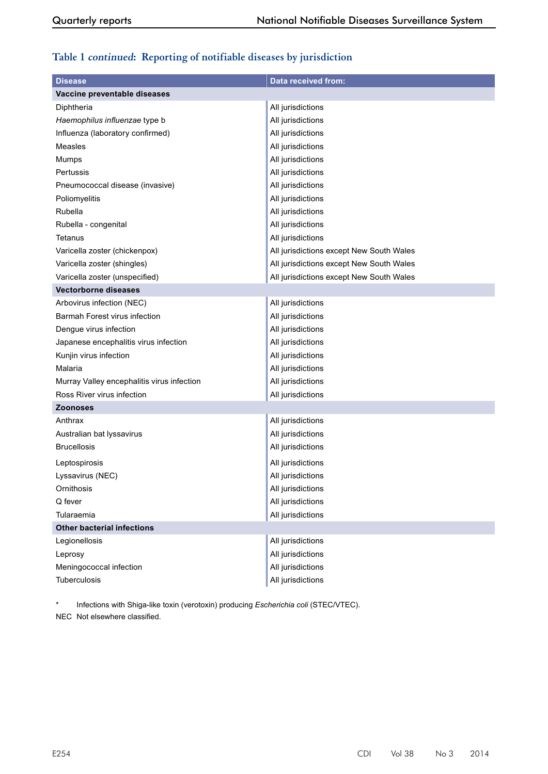### **Table 1 continued: Reporting of notifiable diseases by jurisdiction**

| <b>Disease</b>                             | Data received from:                      |
|--------------------------------------------|------------------------------------------|
| Vaccine preventable diseases               |                                          |
| Diphtheria                                 | All jurisdictions                        |
| Haemophilus influenzae type b              | All jurisdictions                        |
| Influenza (laboratory confirmed)           | All jurisdictions                        |
| Measles                                    | All jurisdictions                        |
| Mumps                                      | All jurisdictions                        |
| Pertussis                                  | All jurisdictions                        |
| Pneumococcal disease (invasive)            | All jurisdictions                        |
| Poliomyelitis                              | All jurisdictions                        |
| Rubella                                    | All jurisdictions                        |
| Rubella - congenital                       | All jurisdictions                        |
| Tetanus                                    | All jurisdictions                        |
| Varicella zoster (chickenpox)              | All jurisdictions except New South Wales |
| Varicella zoster (shingles)                | All jurisdictions except New South Wales |
| Varicella zoster (unspecified)             | All jurisdictions except New South Wales |
| <b>Vectorborne diseases</b>                |                                          |
| Arbovirus infection (NEC)                  | All jurisdictions                        |
| Barmah Forest virus infection              | All jurisdictions                        |
| Dengue virus infection                     | All jurisdictions                        |
| Japanese encephalitis virus infection      | All jurisdictions                        |
| Kunjin virus infection                     | All jurisdictions                        |
| Malaria                                    | All jurisdictions                        |
| Murray Valley encephalitis virus infection | All jurisdictions                        |
| Ross River virus infection                 | All jurisdictions                        |
| <b>Zoonoses</b>                            |                                          |
| Anthrax                                    | All jurisdictions                        |
| Australian bat lyssavirus                  | All jurisdictions                        |
| <b>Brucellosis</b>                         | All jurisdictions                        |
| Leptospirosis                              | All jurisdictions                        |
| Lyssavirus (NEC)                           | All jurisdictions                        |
| Ornithosis                                 | All jurisdictions                        |
| Q fever                                    | All jurisdictions                        |
| Tularaemia                                 | All jurisdictions                        |
| <b>Other bacterial infections</b>          |                                          |
| Legionellosis                              | All jurisdictions                        |
| Leprosy                                    | All jurisdictions                        |
| Meningococcal infection                    | All jurisdictions                        |
| Tuberculosis                               | All jurisdictions                        |

Infections with Shiga-like toxin (verotoxin) producing *Escherichia coli* (STEC/VTEC). NEC Not elsewhere classified.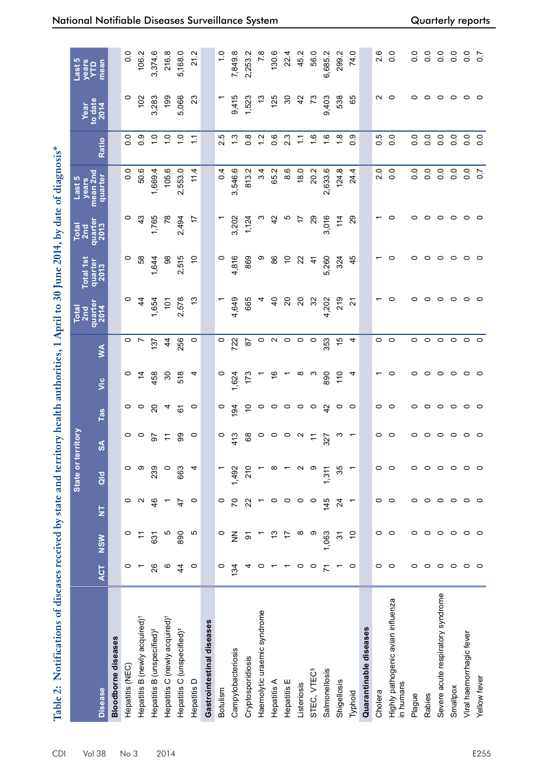| <b>Disease</b>                                 | <b>ACT</b>     | <b>NSW</b>     | $\overline{\mathsf{z}}$ | State or<br>$\frac{d}{d}$ | territory<br>$\infty$ | Tas            | υïς              | $\leq$  | Total<br>2nd<br>quarter<br>2014 | <b>Total 1st</b><br>quarter<br>2013 | quarter<br>2013<br>Total<br>2nd | mean 2nd<br>quarter<br>Last 5<br>years | <b>Ratio</b>     | Year<br>to date<br>2014 | Last 5<br>years<br>YTD<br>mean |
|------------------------------------------------|----------------|----------------|-------------------------|---------------------------|-----------------------|----------------|------------------|---------|---------------------------------|-------------------------------------|---------------------------------|----------------------------------------|------------------|-------------------------|--------------------------------|
| <b>Bloodborne diseases</b>                     |                |                |                         |                           |                       |                |                  |         |                                 |                                     |                                 |                                        |                  |                         |                                |
| Hepatitis (NEC)                                | 0              | 0              | 0                       | $\circ$                   | 0                     | 0              | 0                | 0       | $\circ$                         | 0                                   | 0                               | o.o                                    | $\overline{0}$ . | 0                       | 0.0                            |
| Hepatitis B (newly acquired) <sup>†</sup>      |                | Ξ              | N                       | တ                         | 0                     | 0              | 4                | Ľ       | 4                               | 58                                  | $\frac{3}{4}$                   | 50.6                                   | 0.9              | 102                     | 106.2                          |
| Hepatitis B (unspecified) <sup>#</sup>         | 26             | 631            | $\frac{6}{4}$           | 239                       | 5                     | $\overline{c}$ | 458              | 137     | 1,654                           | 1,644                               | 1,765                           | 1,669.4                                | $\frac{0}{1}$    | 3,283                   | 3,374.6                        |
| Hepatitis C (newly acquired) <sup>†</sup>      | ဖ              | Ю              |                         | $\circ$                   | $\div$                | 4              | $\boldsymbol{S}$ | 4       | $\overline{5}$                  | 88                                  | $\frac{8}{2}$                   | 105.6                                  | $\frac{0}{1}$    | 199                     | 216.8                          |
| Hepatitis C (unspecified) <sup>#</sup>         | $\overline{4}$ | 890            | $\ddot{t}$              | 663                       | 99                    | 61             | 518              | 256     | 2,578                           | 2,515                               | 2,494                           | 2,553.0                                | $\frac{0}{1}$    | 5,066                   | 5,168.0                        |
| Hepatitis D                                    | $\circ$        | ю              | $\circ$                 | 4                         | $\circ$               | $\circ$        | 4                | 0       | مبر<br>ب                        | $\tilde{c}$                         | 17                              | 11.4                                   | Ξ                | 23                      | 21.2                           |
| Gastrointestinal diseases                      |                |                |                         |                           |                       |                |                  |         |                                 |                                     |                                 |                                        |                  |                         |                                |
| Botulism                                       | $\circ$        | 0              | 0                       |                           | 0                     | 0              | $\circ$          | 0       |                                 | 0                                   |                                 | 0.4                                    | 2.5              |                         | $\frac{0}{1}$                  |
| Campylobacteriosis                             | 134            | $\frac{z}{z}$  | 50                      | 1,492                     | 413                   | 194            | 1,624            | 722     | 4,649                           | 4,816                               | 3,202                           | 3,546.6                                | $\frac{3}{1}$    | 9,415                   | 7,849.8                        |
| Cryptosporidiosis                              |                | 5              | 22                      | 210                       | 89                    | $\tilde{c}$    | 173              | 28      | 665                             | 869                                 | 1,124                           | 813.2                                  | $0.\overline{8}$ | 1,523                   | 2,253.2                        |
| Haemolytic uraemic syndrome                    | 0              |                |                         |                           | $\circ$               | $\circ$        |                  | $\circ$ |                                 | တ                                   |                                 | 3.4                                    | $\frac{2}{1}$    | مبر<br>ب                | 7.8                            |
| Hepatitis A                                    |                | 13             | $\circ$                 | $\infty$                  | $\circ$               | $\circ$        | $\frac{6}{5}$    | $\sim$  | $\sigma$                        | 86                                  | $\frac{5}{4}$                   | 65.2                                   | $0.\overline{6}$ | 125                     | 130.6                          |
| Hepatitis E                                    |                |                | $\circ$                 |                           | $\circ$               | $\circ$        |                  | $\circ$ | $\overline{\mathbf{S}}$         | $\tilde{0}$                         | ယ                               | 8.6                                    | $2.\overline{3}$ | 80                      | 22.4                           |
| Listeriosis                                    | $\circ$        | ∞              | 0                       | $\mathbf{\Omega}$         | N                     | $\circ$        | ∞                | $\circ$ | 20                              | 22                                  | 17                              | 18.0                                   | $\mathbb{H}$     | 42                      | 45.2                           |
| STEC, VTEC <sup>§</sup>                        | $\circ$        | တ              | $\circ$                 | တ                         | $\div$                | $\circ$        |                  | $\circ$ | 32                              | $\tilde{t}$                         | $\mathbf{S}$                    | 20.2                                   | $\frac{6}{1}$    | 73                      | 56.0                           |
| Salmonellosis                                  | 71             | 1,063          | 145                     | 1,311                     | 327                   | 42             | 890              | 353     | 4,202                           | 5,260                               | 3,016                           | 2,633.6                                | $\frac{6}{1}$    | 9,403                   | 6,685.2                        |
| Shigellosis                                    |                | 57             | $\overline{a}$          | 35                        |                       | 0              | 110              | 15      | 219                             | 324                                 | 114                             | 124.8                                  | $\frac{8}{1}$    | 538                     | 299.2                          |
| Typhoid                                        | $\circ$        | $\overline{C}$ | $\overline{ }$          |                           |                       | $\circ$        | 4                | 4       | 24                              | 45                                  | 29                              | 24.4                                   | 0.9              | 65                      | 74.0                           |
| Quarantinable diseases                         |                |                |                         |                           |                       |                |                  |         |                                 |                                     |                                 |                                        |                  |                         |                                |
| Cholera                                        | $\circ$        | 0              | $\circ$                 | $\circ$                   | 0                     | 0              |                  | $\circ$ |                                 |                                     |                                 | 2.0                                    | 0.5              | ี                       | 2.6                            |
| Highly pathogenic avian influenza<br>in humans | $\circ$        | 0              | $\circ$                 | $\circ$                   | $\circ$               | $\circ$        | 0                | $\circ$ | 0                               |                                     | 0                               | $\overline{0}$ .                       | 0.0              | 0                       | $\overline{0}$ .               |
| Plague                                         | $\circ$        | $\circ$        | 0                       | $\circ$                   | 0                     | 0              | っ                | 0       |                                 |                                     |                                 | $\frac{0}{2}$                          | 0.0              | 0                       | $\frac{0}{0}$                  |
| Rabies                                         | $\circ$        | $\circ$        | $\circ$                 | $\circ$                   | 0                     | 0              | 0                | 0       | ○                               |                                     | 0                               | 0.0                                    | 0.0              | 0                       | $\overline{0}$ .               |
| Severe acute respiratory syndrome              | $\circ$        | $\circ$        | $\circ$                 | $\circ$                   | $\circ$               | $\circ$        | $\circ$          | $\circ$ | $\circ$                         |                                     | 0                               | 0.0                                    | 0.0              | $\circ$                 | 0.0                            |
| Smallpox                                       | $\circ$        | $\circ$        | $\circ$                 | $\circ$                   | $\circ$               | $\circ$        | $\circ$          | $\circ$ | $\circ$                         | っ                                   | 0                               | 0.0                                    | 0.0              | $\circ$                 | 0.0                            |
| Viral haemorrhagic fever                       | $\circ$        | $\circ$        | $\circ$                 | $\circ$                   | 0                     | $\circ$        | $\circ$          | $\circ$ | $\circ$                         |                                     | 0                               | $\overline{0}$ .                       | $\overline{0}$ . | $\circ$                 | $\overline{0}$ .               |
| Yellow fever                                   | $\circ$        | $\circ$        | $\circ$                 | $\circ$                   | $\circ$               | $\circ$        |                  | $\circ$ | $\circ$                         |                                     | $\circ$                         | $\overline{0.7}$                       | $\overline{0}$ . | $\circ$                 | $\overline{0.7}$               |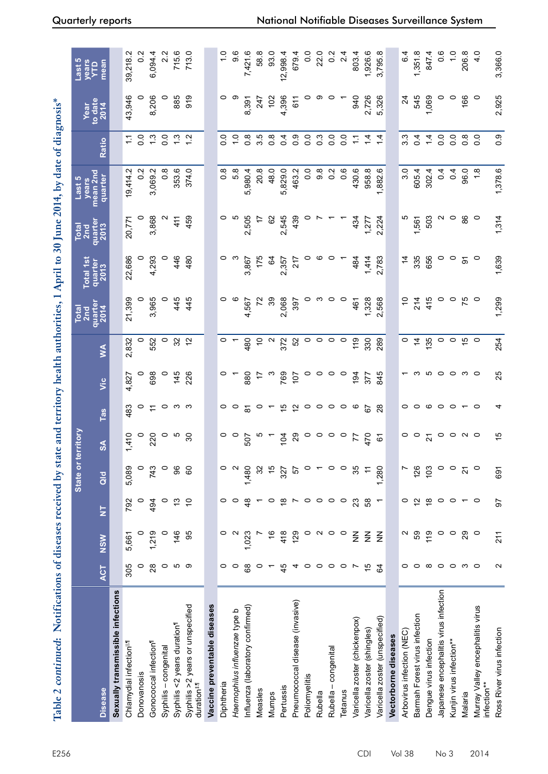| Table 2 continued: Notifications of diseases received by state and territory health authorities, 1 April to 30 June 2014, by date of diagnosis* |                 |                   |                          |                    |          |                          |         |                   |                 |                 |                   |                             |                  |                         |                        |
|-------------------------------------------------------------------------------------------------------------------------------------------------|-----------------|-------------------|--------------------------|--------------------|----------|--------------------------|---------|-------------------|-----------------|-----------------|-------------------|-----------------------------|------------------|-------------------------|------------------------|
|                                                                                                                                                 |                 |                   |                          | State or territory |          |                          |         |                   | Total<br>2nd    | Total 1st       | Total<br>2nd      | mean 2nd<br>Last 5<br>years |                  | Year<br>to date<br>2014 | Last 5<br>years<br>YTD |
| <b>Disease</b>                                                                                                                                  | <b>ACT</b>      | <b>NSW</b>        | $\frac{1}{2}$            | $\frac{d}{d}$      | $\infty$ | Tas                      | υïς     | Š                 | quarter<br>2014 | quarter<br>2013 | quarter<br>2013   | quarter                     | Ratio            |                         | mean                   |
| Sexually transmissible infections                                                                                                               |                 |                   |                          |                    |          |                          |         |                   |                 |                 |                   |                             |                  |                         |                        |
| Chlamydial infection <sup>11</sup>                                                                                                              | 305             | 5,661             | 792                      | 5,089              | 1,410    | 483                      | 4,827   | 2,832             | 21,399          | 22,686          | 20,771            | Ņ<br>19,414.                |                  | 43,946                  | 39,218.2               |
| Donovanosis                                                                                                                                     | $\circ$         | $\circ$           | $\circ$                  | $\circ$            | $\circ$  | $\circ$                  | $\circ$ |                   | 0               | 0               | 0                 | $\frac{2}{5}$               | $\overline{0}$ . | O                       | $0.\overline{2}$       |
| Gonococcal infection <sup>1</sup>                                                                                                               | 28              | 1,219             | 494                      | 743                | 220      | $\div$                   | 698     | 552               | 965<br>က        | <b>293</b><br>4 | 868<br>က          | 3,069.2                     | $\frac{3}{2}$    | 206<br>$\infty$         | 6,094.4                |
| Syphilis-congenital                                                                                                                             | $\circ$         | $\circ$           | $\circ$                  | $\circ$            | $\circ$  | $\circ$                  | $\circ$ | $\circ$           | 0               | 0               | $\mathbf{\Omega}$ | $0.\overline{8}$            | 0.0              | $\circ$                 | 2.2                    |
| Syphilis <2 years duration <sup>1</sup>                                                                                                         | 5               | 146               | $\frac{3}{2}$            | 96                 | ယ        | ო ო                      | 145     | 32<br>2           | 445             | 446             | 41                | 353.6                       | $\frac{3}{2}$    | 885                     | 715.6                  |
| Syphilis > 2 years or unspecified<br>duration <sup>#,fl</sup>                                                                                   | ത               | 95                | $\tilde{0}$              | 60                 | 30       |                          | 226     |                   | 445             | 480             | 459               | 374.0                       | $\mathbf{N}$     | 919                     | 713.0                  |
| Vaccine preventable diseases                                                                                                                    |                 |                   |                          |                    |          |                          |         |                   |                 |                 |                   |                             |                  |                         |                        |
| Diphtheria                                                                                                                                      | 0               |                   | 0                        |                    | 0        | 0                        | o       |                   | 0               | 0               | 0                 | ∞<br>ö                      | $\overline{0}$   | 0                       | $\frac{1}{2}$          |
| Haemophilus influenzae type b                                                                                                                   | $\circ$         |                   | 0                        |                    | O        | 0                        |         |                   | <u>ဖ</u>        | က               | Ю                 | $\infty$<br>ທ່              | $\frac{0}{1}$    | တ                       | 9.6                    |
| Influenza (laboratory confirmed)                                                                                                                | 68              | 1,023             | $\frac{8}{4}$            | 1,480              | 507      | 5                        | 880     | 480               | 4,567           | 3,867           | 2,505             | 5,980.4                     | $\frac{8}{2}$    | 8,391                   | 7,421.6                |
| Measles                                                                                                                                         | $\circ$         |                   |                          | 32                 | ၯ        | O                        | 17      | S                 | 72              | 175             |                   | 20.8                        | ယ္<br>ຕ່         | 247                     | 58.8                   |
| Mumps                                                                                                                                           |                 | $\frac{8}{1}$     | 0                        | 45                 |          |                          | ო       | $\mathbf{\Omega}$ | 39              | 64              | 82                | 48.0                        | $0.\overline{8}$ | $\frac{2}{3}$           | 93.0                   |
| Pertussis                                                                                                                                       | 45              | 418               | $\frac{8}{1}$            | 327                | 104      |                          | 769     | 372               | 2,068           | 2,357           | 2,545             | 5,829.0                     | 0.4              | 4,396                   | 12,998.4               |
| Pneumococcal disease (invasive)                                                                                                                 | 4               | 129               | $\overline{ }$           | 5                  | 29       | おお                       | 107     | 52                | 397             | 217             | 439               | 463.2                       | 0.9              | 611                     | 679.4                  |
| Poliomyelitis                                                                                                                                   | $\circ$         | $\circ$           | $\circ$                  |                    | $\circ$  |                          | $\circ$ | $\circ$           | 0               | 0               |                   | 0.0                         | 0.0              |                         | $\frac{0}{0}$          |
| Rubella                                                                                                                                         | $\circ$         | $\mathbf{\Omega}$ | 0                        |                    | $\circ$  | $\circ$ $\circ$          | 0       | $\circ$           | ო               | ဖ               |                   | 9.8                         | $0.\overline{3}$ | တ                       | 22.0                   |
| Rubella - congenital                                                                                                                            | $\circ$         | $\circ$           | $\circ$                  |                    | $\circ$  | $\circ$                  | 0       | 0                 | 0               | $\circ$         |                   | $0.\overline{2}$            | 0.0              | 0                       | $\frac{2}{3}$          |
| Tetanus                                                                                                                                         | $\circ$         | $\circ$           | 0                        | 0                  | $\circ$  | $\circ$                  | $\circ$ | $\circ$           | $\circ$         |                 |                   | $0.\overline{6}$            | 0.0              |                         | 2.4                    |
| Varicella zoster (chickenpox)                                                                                                                   |                 | $\frac{z}{z}$     | 23                       | 35                 | 77       | ဖ                        | 194     | 119               | 461             | 484             | 434               | 430.6                       | $\ddot{ }$       | 940                     | 803.4                  |
| Varicella zoster (shingles)                                                                                                                     | $\overline{5}$  | $\frac{z}{z}$     | 38                       |                    | 470      | 57                       | 377     | 330               | 1,328           | 1,414           | 1,277             | 958.8                       | $1\overline{4}$  | 2,726                   | 1,926.6                |
| Varicella zoster (unspecified)                                                                                                                  | \$4             | $\frac{z}{z}$     |                          | 1,280              | 67       | 28                       | 845     | 289               | 2,568           | 2,783           | 2,224             | 1,882.6                     | 1.4              | 5,326                   | 3,795.8                |
| Vectorborne diseases                                                                                                                            |                 |                   |                          |                    |          |                          |         |                   |                 |                 |                   |                             |                  |                         |                        |
| Arbovirus infection (NEC)                                                                                                                       | 0               | $\sim$            | $\circ$                  | r                  | $\circ$  | 0                        |         | 0                 | S               | $\frac{4}{7}$   | ιΩ                | 3.0                         | $3.\overline{3}$ | $\overline{c}$          | 6.4                    |
| Barmah Forest virus infection                                                                                                                   | $\circ$         | 59                | $\tilde{a}$              | 126                | 0        | 0                        | ო       | $\dot{4}$         | 214             | 335             | 1,561             | 605.4                       | 0.4              | 545                     | 1,351.8                |
| Dengue virus infection                                                                                                                          | $\infty$        | 119               | $\frac{8}{1}$            | 103                | 24       | ဖ                        | Ю       | 135               | 415             | 656             | 503               | 302.4                       | 1.4              | 1,069                   | 847.4                  |
| Japanese encephalitis virus infection                                                                                                           |                 | $\circ$           | $\circ$                  | $\circ$            | 0        | $\circ$                  | $\circ$ | $\circ$           | $\circ$         | $\circ$         | $\mathbf{\Omega}$ | 0.4                         | 0.0              | 0                       | 0.6                    |
| Kunjin virus infection**                                                                                                                        | $\circ$ $\circ$ | $\circ$           | $\circ$                  | $\circ$            | 0        | $\circ$                  | $\circ$ | $\circ$           | $\circ$         | $\circ$         | $\circ$           | 0.4                         | 0.0              | $\circ$                 | $\frac{0}{1}$          |
| Malaria                                                                                                                                         | $\circ$ $\circ$ | 29                | $\overline{\phantom{0}}$ | 21                 | $\sim$ 0 | $\overline{\phantom{0}}$ | က ဝ     | $\frac{5}{2}$     | 75              | 5               | 86                | 96.0                        | $\frac{8}{2}$    | 166                     | 206.8                  |
| Murray Valley encephalitis virus<br>infection**                                                                                                 |                 | $\circ$           | $\circ$                  | $\circ$            |          | $\circ$                  |         | $\circ$           | $\circ$         | $\circ$         | $\circ$           | 1,8                         | 0.0              | $\circ$                 | 4.0                    |
| Ross River virus infection                                                                                                                      | ∾               | 211               | 5                        | 691                | 15       |                          | 25      | 254               | 1.299           | 1,639           | 1.314             | 1,378.6                     | 0.0              | 2.925                   | 3.366.0                |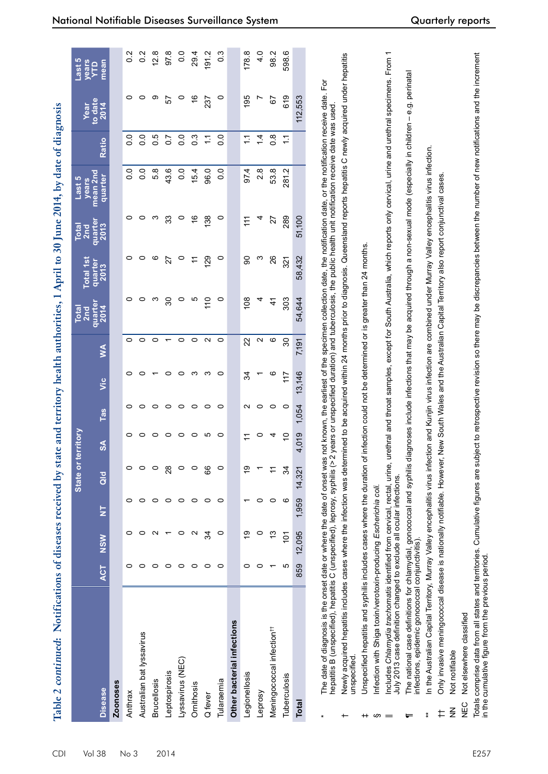| í<br>$\overline{AB}$ her data of $\overline{AB}$<br>$\frac{1}{2}$ is a primer conduct of $\frac{1}{2}$<br>$\overline{\phantom{a}}$<br>ن<br>م<br>$\frac{1}{3}$<br>$\overline{\mathbf{A}}$ |  |
|------------------------------------------------------------------------------------------------------------------------------------------------------------------------------------------|--|
| <b>POTTHER</b><br><b>See See</b>                                                                                                                                                         |  |
| acertacle has choose and tarritations has<br>ידדה המדומ<br>y stal                                                                                                                        |  |
| i<br>1<br>ç                                                                                                                                                                              |  |
|                                                                                                                                                                                          |  |
| J<br>ť                                                                                                                                                                                   |  |

|                                       |     |                  |                         | State or territory |               |       |        |         | Total<br>2nd   | Total 1st       | Total<br>2nd<br>quarter<br>2013 | Last 5<br>years     |                  |                         | Last 5               |
|---------------------------------------|-----|------------------|-------------------------|--------------------|---------------|-------|--------|---------|----------------|-----------------|---------------------------------|---------------------|------------------|-------------------------|----------------------|
| Disease                               |     | ACT NSW          | $\overline{\mathsf{z}}$ | $\frac{d}{d}$      | $\frac{1}{2}$ | Tas   | υiς    | $\leq$  | quarte<br>2014 | quarter<br>2013 |                                 | mean 2nd<br>quarter | Ratio            | Year<br>to date<br>2014 | years<br>YTD<br>mean |
| <b>Zoonoses</b>                       |     |                  |                         |                    |               |       |        |         |                |                 |                                 |                     |                  |                         |                      |
| Anthrax                               |     |                  |                         | $\circ$            |               |       |        | 0       | O              |                 |                                 | 0.0                 | $\overline{0}$ . |                         | $\frac{2}{3}$        |
| Australian bat lyssavirus             |     |                  |                         | $\circ$            |               |       |        | o       |                |                 |                                 | 0.0                 | $\overline{0}$ . |                         | $\frac{2}{3}$        |
| <b>Brucellosis</b>                    |     |                  |                         | 0                  |               |       |        |         | ო              | <u>(</u>        | ო                               | 5.8                 | 0.5              | თ                       | $\frac{8}{2}$        |
| Leptospirosis                         |     |                  |                         | $\frac{8}{2}$      |               |       |        |         | 30             | 27              | 33                              | 43.6                | $\overline{0.7}$ | 57                      | 97.8                 |
| Lyssavirus (NEC)                      |     |                  |                         | $\circ$            |               | 0     |        |         | $\circ$        | $\circ$         | $\circ$                         | 0.0                 | $\overline{0}$ . | $\circ$                 | $\frac{0}{2}$        |
| Ornithosis                            |     |                  |                         | $\circ$            |               | 0     |        | o       | ယ              | $\div$          | $\frac{6}{5}$                   | 15.4                | $\frac{3}{2}$    | $\frac{6}{5}$           | 29.4                 |
| Q fever                               |     | 34               | 0                       | 66                 | ഥ             | 0     |        | N       | 110            | 129             | 138                             | 96.0                | Ξ                | 237                     | 191.2                |
| Tularaemia                            | 0   | 0                | 0                       | $\circ$            | 0             | 0     | 0      | $\circ$ | $\circ$        | $\circ$         | $\circ$                         | $\frac{0}{2}$       | 0.0              | $\circ$                 | ိ<br>၁               |
| Other bacterial infections            |     |                  |                         |                    |               |       |        |         |                |                 |                                 |                     |                  |                         |                      |
| Legionellosis                         |     | စ္               |                         | ó                  |               |       | 34     | 22      | 108            | 90              | 11                              | 97.4                | $\mathbf{1}$     | 195                     | 178.8                |
| Leprosy                               |     |                  |                         |                    |               |       |        | Ν       |                | ო               |                                 | 2.8                 | $1\overline{4}$  |                         | $rac{1}{4}$          |
| Meningococcal infection <sup>t+</sup> |     | చ                |                         | $\overline{1}$     | 4             |       | ဖ      | ဖ       | 4              | 26              | 27                              | 53.8                | $\frac{8}{2}$    | 59                      | 98.2                 |
| Tuberculosis                          | ю   | $\overline{101}$ | ဖ                       | 34                 | S             |       | 117    | 30      | 303            | 321             | 289                             | 281.2               | Ξ                | 619                     | 598.6                |
| <b>Total</b>                          | 859 | 12,095           | 1,959 14,321            |                    | 4,019         | 1,054 | 13,146 | 7,191   | 54,644         | 58,432          | 51,100                          |                     |                  | 112,553                 |                      |
|                                       |     |                  |                         |                    |               |       |        |         |                |                 |                                 |                     |                  |                         |                      |

 The date of diagnosis is the onset date or where the date of onset was not known, the earliest of the specimen collection date, the notification date, or the notification receive date. For The date of diagnosis is the onset date or where the date of onset was not known, the earliest of the specimen collection date, the notification date, or the notification receive date. For<br>hepatitis B (unspecified), hepati hepatitis B (unspecified), hepatitis C (unspecified), leprosy, syphilis (>2 years or unspecified duration) and tuberculosis, the public health unit notification receive date was used.

\*

 Newly acquired hepatitis includes cases where the infection was determined to be acquired within 24 months prior to diagnosis. Queensland reports hepatitis C newly acquired under hepatitis Newly acquired hepatitis includes cases where the infection was determined to be acquired within 24 months prior to diagnosis. Queensland reports hepatitis C newly acquired under hepatitis unspecified. unspecified. †

Jnspecified hepatitis and syphilis includes cases where the duration of infection could not be determined or is greater than 24 months. Unspecified hepatitis and syphilis includes cases where the duration of infection could not be determined or is greater than 24 months.

nfection with Shiga toxin/verotoxin-producing Escherichia coli. Infection with Shiga toxin/verotoxin-producing *Escherichia coli.*

 $+$ 

|| Includes *Chlamydia trachomatis* identified from cervical, rectal, urine, urethral and throat samples, except for South Australia, which reports only cervical, urine and urethral specimens. From 1 ncludes Chlamydia trachomatis identified from cervical, rectal, urine, urethral and throat samples, except for South Australia, which reports only cervical, urine and urethral specimens. From 1 July 2013 case definition changed to exclude all ocular infections. July 2013 case definition changed to exclude all ocular infections.  $\omega =$ 

 $\P$  The national case definitions for chlamydial, gonococcal and syphilis diagnoses include infections that may be acquired through a non-sexual mode (especially in children – e.g. perinatal The national case definitions for chlamydial, gonococcal and syphilis diagnoses include infections that may be acquired through a non-sexual mode (especially in children – e.g. perinatal infections, epidemic gonococcal conjunctivitis). infections, epidemic gonococcal conjunctivitis).  $\equiv$ 

n the Australian Capital Territory, Murray Valley encephalitis virus infection and Kunjin virus infection are combined under Murray Valley encephalitis virus infection. \*\* In the Australian Capital Territory, Murray Valley encephalitis virus infection and Kunjin virus infection are combined under Murray Valley encephalitis virus infection.  $\ddot{z}$ 

†† Only invasive meningococcal disease is nationally notifiable. However, New South Wales and the Australian Capital Territory also report conjunctival cases. Only invasive meningococcal disease is nationally notifiable. However, New South Wales and the Australian Capital Territory also report conjunctival cases.  $\pm$ 

NN Not notifiable **Not notifiable**  $\frac{z}{z}$ 

Not elsewhere classified NEC Not elsewhere classified NEC<br>M

Totals comprise data from all states and territories. Cumulative figures are subject to retrospective revision so there may be discrepancies between the number of new notifications and the increment comprise data from all states and territories. Cumulative figures are subject to retrospective revision so there may be discrepancies between the number of new notifications and the increment n the cumulative figure from the previous period. in the cumulative figure from the previous period. Totals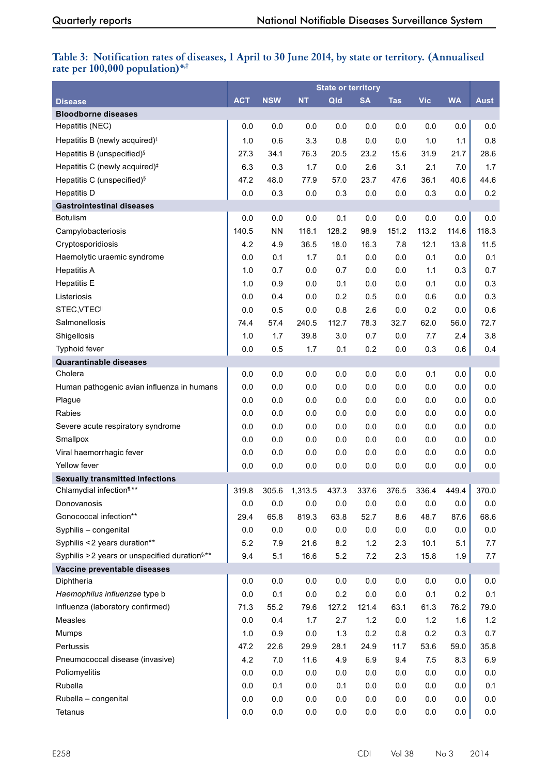#### **Table 3: Notification rates of diseases, 1 April to 30 June 2014, by state or territory. (Annualised rate per 100,000 population)\*,†**

|                                                            |            |            |           | <b>State or territory</b> |           |            |            |           |             |
|------------------------------------------------------------|------------|------------|-----------|---------------------------|-----------|------------|------------|-----------|-------------|
| <b>Disease</b>                                             | <b>ACT</b> | <b>NSW</b> | <b>NT</b> | Qld                       | <b>SA</b> | <b>Tas</b> | <b>Vic</b> | <b>WA</b> | <b>Aust</b> |
| <b>Bloodborne diseases</b>                                 |            |            |           |                           |           |            |            |           |             |
| Hepatitis (NEC)                                            | 0.0        | 0.0        | 0.0       | 0.0                       | 0.0       | 0.0        | 0.0        | 0.0       | 0.0         |
| Hepatitis B (newly acquired) <sup>#</sup>                  | 1.0        | 0.6        | 3.3       | 0.8                       | 0.0       | 0.0        | 1.0        | $1.1$     | 0.8         |
| Hepatitis B (unspecified) <sup>§</sup>                     | 27.3       | 34.1       | 76.3      | 20.5                      | 23.2      | 15.6       | 31.9       | 21.7      | 28.6        |
| Hepatitis C (newly acquired) <sup>#</sup>                  | 6.3        | 0.3        | 1.7       | 0.0                       | 2.6       | 3.1        | 2.1        | 7.0       | 1.7         |
| Hepatitis C (unspecified) <sup>§</sup>                     | 47.2       | 48.0       | 77.9      | 57.0                      | 23.7      | 47.6       | 36.1       | 40.6      | 44.6        |
| <b>Hepatitis D</b>                                         | 0.0        | 0.3        | 0.0       | 0.3                       | 0.0       | 0.0        | 0.3        | 0.0       | 0.2         |
| <b>Gastrointestinal diseases</b>                           |            |            |           |                           |           |            |            |           |             |
| <b>Botulism</b>                                            | 0.0        | 0.0        | 0.0       | 0.1                       | 0.0       | 0.0        | 0.0        | 0.0       | 0.0         |
| Campylobacteriosis                                         | 140.5      | <b>NN</b>  | 116.1     | 128.2                     | 98.9      | 151.2      | 113.2      | 114.6     | 118.3       |
| Cryptosporidiosis                                          | 4.2        | 4.9        | 36.5      | 18.0                      | 16.3      | 7.8        | 12.1       | 13.8      | 11.5        |
| Haemolytic uraemic syndrome                                | 0.0        | 0.1        | 1.7       | 0.1                       | 0.0       | 0.0        | 0.1        | 0.0       | 0.1         |
| <b>Hepatitis A</b>                                         | 1.0        | 0.7        | 0.0       | 0.7                       | 0.0       | 0.0        | 1.1        | 0.3       | 0.7         |
| <b>Hepatitis E</b>                                         | 1.0        | 0.9        | 0.0       | 0.1                       | 0.0       | 0.0        | 0.1        | 0.0       | 0.3         |
| Listeriosis                                                | 0.0        | 0.4        | 0.0       | 0.2                       | 0.5       | 0.0        | 0.6        | 0.0       | 0.3         |
| STEC, VTEC <sup>II</sup>                                   | 0.0        | 0.5        | 0.0       | 0.8                       | 2.6       | 0.0        | 0.2        | 0.0       | 0.6         |
| Salmonellosis                                              | 74.4       | 57.4       | 240.5     | 112.7                     | 78.3      | 32.7       | 62.0       | 56.0      | 72.7        |
| Shigellosis                                                | 1.0        | 1.7        | 39.8      | 3.0                       | 0.7       | 0.0        | 7.7        | 2.4       | 3.8         |
| <b>Typhoid fever</b>                                       | 0.0        | 0.5        | 1.7       | 0.1                       | 0.2       | 0.0        | 0.3        | 0.6       | 0.4         |
| <b>Quarantinable diseases</b>                              |            |            |           |                           |           |            |            |           |             |
| Cholera                                                    | 0.0        | 0.0        | 0.0       | 0.0                       | 0.0       | 0.0        | 0.1        | 0.0       | 0.0         |
| Human pathogenic avian influenza in humans                 | 0.0        | 0.0        | 0.0       | 0.0                       | 0.0       | 0.0        | 0.0        | 0.0       | 0.0         |
| Plague                                                     | 0.0        | 0.0        | 0.0       | 0.0                       | 0.0       | 0.0        | 0.0        | 0.0       | 0.0         |
| Rabies                                                     | 0.0        | 0.0        | 0.0       | 0.0                       | 0.0       | 0.0        | 0.0        | 0.0       | 0.0         |
| Severe acute respiratory syndrome                          | 0.0        | 0.0        | 0.0       | 0.0                       | 0.0       | 0.0        | 0.0        | 0.0       | 0.0         |
| Smallpox                                                   | 0.0        | 0.0        | 0.0       | 0.0                       | 0.0       | 0.0        | 0.0        | 0.0       | 0.0         |
| Viral haemorrhagic fever                                   | 0.0        | 0.0        | 0.0       | 0.0                       | 0.0       | 0.0        | 0.0        | 0.0       | 0.0         |
| Yellow fever                                               | 0.0        | 0.0        | 0.0       | 0.0                       | 0.0       | 0.0        | 0.0        | 0.0       | 0.0         |
| <b>Sexually transmitted infections</b>                     |            |            |           |                           |           |            |            |           |             |
| Chlamydial infection <sup>1,**</sup>                       | 319.8      | 305.6      | 1,313.5   | 437.3                     | 337.6     | 376.5      | 336.4      | 449.4     | 370.0       |
| Donovanosis                                                | 0.0        | 0.0        | 0.0       | 0.0                       | 0.0       | 0.0        | 0.0        | 0.0       | 0.0         |
| Gonococcal infection**                                     | 29.4       | 65.8       | 819.3     | 63.8                      | 52.7      | 8.6        | 48.7       | 87.6      | 68.6        |
| Syphilis - congenital                                      | 0.0        | $0.0\,$    | 0.0       | $0.0\,$                   | $0.0\,$   | 0.0        | 0.0        | 0.0       | $0.0\,$     |
| Syphilis <2 years duration**                               | 5.2        | 7.9        | 21.6      | 8.2                       | 1.2       | 2.3        | 10.1       | 5.1       | 7.7         |
| Syphilis > 2 years or unspecified duration <sup>§,**</sup> | 9.4        | 5.1        | 16.6      | 5.2                       | 7.2       | 2.3        | 15.8       | 1.9       | 7.7         |
| Vaccine preventable diseases                               |            |            |           |                           |           |            |            |           |             |
| Diphtheria                                                 | 0.0        | 0.0        | 0.0       | 0.0                       | 0.0       | 0.0        | 0.0        | 0.0       | 0.0         |
| Haemophilus influenzae type b                              | 0.0        | 0.1        | $0.0\,$   | 0.2                       | $0.0\,$   | 0.0        | 0.1        | 0.2       | 0.1         |
| Influenza (laboratory confirmed)                           | 71.3       | 55.2       | 79.6      | 127.2                     | 121.4     | 63.1       | 61.3       | 76.2      | 79.0        |
| Measles                                                    | 0.0        | 0.4        | 1.7       | 2.7                       | 1.2       | 0.0        | 1.2        | 1.6       | 1.2         |
| Mumps                                                      | 1.0        | 0.9        | $0.0\,$   | 1.3                       | 0.2       | 0.8        | 0.2        | 0.3       | 0.7         |
| Pertussis                                                  | 47.2       | 22.6       | 29.9      | 28.1                      | 24.9      | 11.7       | 53.6       | 59.0      | 35.8        |
| Pneumococcal disease (invasive)                            | 4.2        | 7.0        | 11.6      | 4.9                       | 6.9       | 9.4        | 7.5        | 8.3       | 6.9         |
| Poliomyelitis                                              | 0.0        | 0.0        | $0.0\,$   | 0.0                       | 0.0       | 0.0        | 0.0        | 0.0       | $0.0\,$     |
| Rubella                                                    | 0.0        | 0.1        | $0.0\,$   | 0.1                       | 0.0       | 0.0        | 0.0        | 0.0       | 0.1         |
| Rubella - congenital                                       | 0.0        | 0.0        | 0.0       | 0.0                       | 0.0       | 0.0        | 0.0        | 0.0       | $0.0\,$     |
| Tetanus                                                    | $0.0\,$    | 0.0        | $0.0\,$   | $0.0\,$                   | $0.0\,$   | $0.0\,$    | $0.0\,$    | 0.0       | $0.0\,$     |